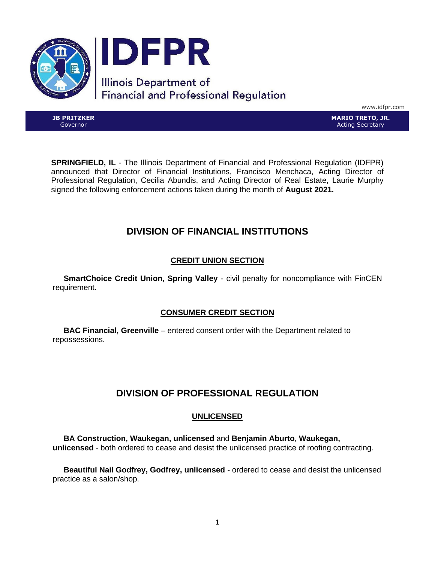

www.idfpr.com

**JB PRITZKER** Governor

**MARIO TRETO, JR.** Acting Secretary

**SPRINGFIELD, IL** - The Illinois Department of Financial and Professional Regulation (IDFPR) announced that Director of Financial Institutions, Francisco Menchaca, Acting Director of Professional Regulation, Cecilia Abundis, and Acting Director of Real Estate, Laurie Murphy signed the following enforcement actions taken during the month of **August 2021.**

# **DIVISION OF FINANCIAL INSTITUTIONS**

# **CREDIT UNION SECTION**

 **SmartChoice Credit Union, Spring Valley** - civil penalty for noncompliance with FinCEN requirement.

# **CONSUMER CREDIT SECTION**

 **BAC Financial, Greenville** – entered consent order with the Department related to repossessions.

# **DIVISION OF PROFESSIONAL REGULATION**

# **UNLICENSED**

 **BA Construction, Waukegan, unlicensed** and **Benjamin Aburto**, **Waukegan, unlicensed** - both ordered to cease and desist the unlicensed practice of roofing contracting.

 **Beautiful Nail Godfrey, Godfrey, unlicensed** - ordered to cease and desist the unlicensed practice as a salon/shop.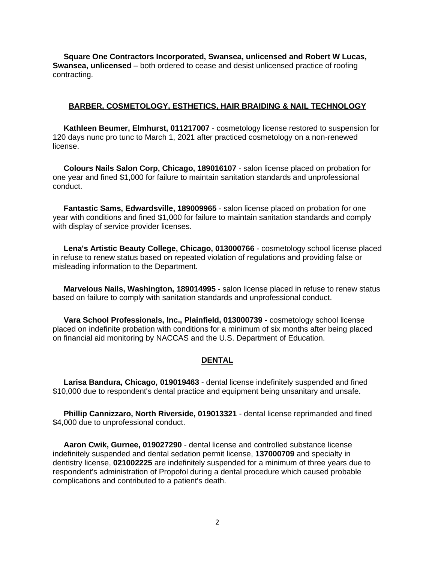**Square One Contractors Incorporated, Swansea, unlicensed and Robert W Lucas, Swansea, unlicensed** – both ordered to cease and desist unlicensed practice of roofing contracting.

## **BARBER, COSMETOLOGY, ESTHETICS, HAIR BRAIDING & NAIL TECHNOLOGY**

 **Kathleen Beumer, Elmhurst, 011217007** - cosmetology license restored to suspension for 120 days nunc pro tunc to March 1, 2021 after practiced cosmetology on a non-renewed license.

 **Colours Nails Salon Corp, Chicago, 189016107** - salon license placed on probation for one year and fined \$1,000 for failure to maintain sanitation standards and unprofessional conduct.

 **Fantastic Sams, Edwardsville, 189009965** - salon license placed on probation for one year with conditions and fined \$1,000 for failure to maintain sanitation standards and comply with display of service provider licenses.

 **Lena's Artistic Beauty College, Chicago, 013000766** - cosmetology school license placed in refuse to renew status based on repeated violation of regulations and providing false or misleading information to the Department.

 **Marvelous Nails, Washington, 189014995** - salon license placed in refuse to renew status based on failure to comply with sanitation standards and unprofessional conduct.

 **Vara School Professionals, Inc., Plainfield, 013000739** - cosmetology school license placed on indefinite probation with conditions for a minimum of six months after being placed on financial aid monitoring by NACCAS and the U.S. Department of Education.

## **DENTAL**

 **Larisa Bandura, Chicago, 019019463** - dental license indefinitely suspended and fined \$10,000 due to respondent's dental practice and equipment being unsanitary and unsafe.

 **Phillip Cannizzaro, North Riverside, 019013321** - dental license reprimanded and fined \$4,000 due to unprofessional conduct.

 **Aaron Cwik, Gurnee, 019027290** - dental license and controlled substance license indefinitely suspended and dental sedation permit license, **137000709** and specialty in dentistry license, **021002225** are indefinitely suspended for a minimum of three years due to respondent's administration of Propofol during a dental procedure which caused probable complications and contributed to a patient's death.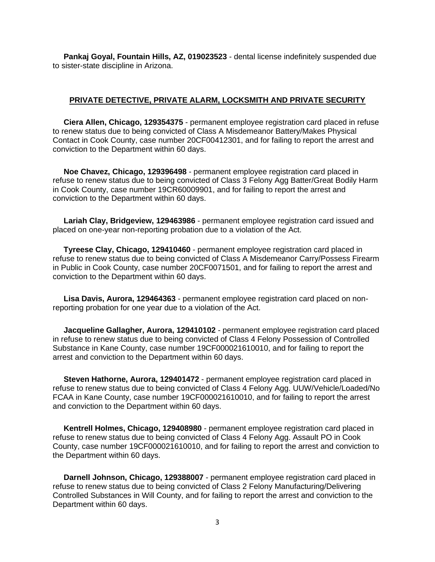**Pankaj Goyal, Fountain Hills, AZ, 019023523** - dental license indefinitely suspended due to sister-state discipline in Arizona.

#### **PRIVATE DETECTIVE, PRIVATE ALARM, LOCKSMITH AND PRIVATE SECURITY**

 **Ciera Allen, Chicago, 129354375** - permanent employee registration card placed in refuse to renew status due to being convicted of Class A Misdemeanor Battery/Makes Physical Contact in Cook County, case number 20CF00412301, and for failing to report the arrest and conviction to the Department within 60 days.

 **Noe Chavez, Chicago, 129396498** - permanent employee registration card placed in refuse to renew status due to being convicted of Class 3 Felony Agg Batter/Great Bodily Harm in Cook County, case number 19CR60009901, and for failing to report the arrest and conviction to the Department within 60 days.

 **Lariah Clay, Bridgeview, 129463986** - permanent employee registration card issued and placed on one-year non-reporting probation due to a violation of the Act.

 **Tyreese Clay, Chicago, 129410460** - permanent employee registration card placed in refuse to renew status due to being convicted of Class A Misdemeanor Carry/Possess Firearm in Public in Cook County, case number 20CF0071501, and for failing to report the arrest and conviction to the Department within 60 days.

 **Lisa Davis, Aurora, 129464363** - permanent employee registration card placed on nonreporting probation for one year due to a violation of the Act.

 **Jacqueline Gallagher, Aurora, 129410102** - permanent employee registration card placed in refuse to renew status due to being convicted of Class 4 Felony Possession of Controlled Substance in Kane County, case number 19CF000021610010, and for failing to report the arrest and conviction to the Department within 60 days.

 **Steven Hathorne, Aurora, 129401472** - permanent employee registration card placed in refuse to renew status due to being convicted of Class 4 Felony Agg. UUW/Vehicle/Loaded/No FCAA in Kane County, case number 19CF000021610010, and for failing to report the arrest and conviction to the Department within 60 days.

 **Kentrell Holmes, Chicago, 129408980** - permanent employee registration card placed in refuse to renew status due to being convicted of Class 4 Felony Agg. Assault PO in Cook County, case number 19CF000021610010, and for failing to report the arrest and conviction to the Department within 60 days.

 **Darnell Johnson, Chicago, 129388007** - permanent employee registration card placed in refuse to renew status due to being convicted of Class 2 Felony Manufacturing/Delivering Controlled Substances in Will County, and for failing to report the arrest and conviction to the Department within 60 days.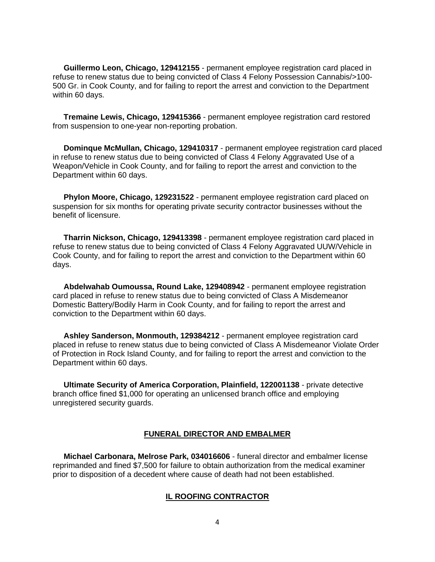**Guillermo Leon, Chicago, 129412155** - permanent employee registration card placed in refuse to renew status due to being convicted of Class 4 Felony Possession Cannabis/>100- 500 Gr. in Cook County, and for failing to report the arrest and conviction to the Department within 60 days.

 **Tremaine Lewis, Chicago, 129415366** - permanent employee registration card restored from suspension to one-year non-reporting probation.

 **Dominque McMullan, Chicago, 129410317** - permanent employee registration card placed in refuse to renew status due to being convicted of Class 4 Felony Aggravated Use of a Weapon/Vehicle in Cook County, and for failing to report the arrest and conviction to the Department within 60 days.

 **Phylon Moore, Chicago, 129231522** - permanent employee registration card placed on suspension for six months for operating private security contractor businesses without the benefit of licensure.

 **Tharrin Nickson, Chicago, 129413398** - permanent employee registration card placed in refuse to renew status due to being convicted of Class 4 Felony Aggravated UUW/Vehicle in Cook County, and for failing to report the arrest and conviction to the Department within 60 days.

 **Abdelwahab Oumoussa, Round Lake, 129408942** - permanent employee registration card placed in refuse to renew status due to being convicted of Class A Misdemeanor Domestic Battery/Bodily Harm in Cook County, and for failing to report the arrest and conviction to the Department within 60 days.

 **Ashley Sanderson, Monmouth, 129384212** - permanent employee registration card placed in refuse to renew status due to being convicted of Class A Misdemeanor Violate Order of Protection in Rock Island County, and for failing to report the arrest and conviction to the Department within 60 days.

 **Ultimate Security of America Corporation, Plainfield, 122001138** - private detective branch office fined \$1,000 for operating an unlicensed branch office and employing unregistered security guards.

#### **FUNERAL DIRECTOR AND EMBALMER**

 **Michael Carbonara, Melrose Park, 034016606** - funeral director and embalmer license reprimanded and fined \$7,500 for failure to obtain authorization from the medical examiner prior to disposition of a decedent where cause of death had not been established.

#### **IL ROOFING CONTRACTOR**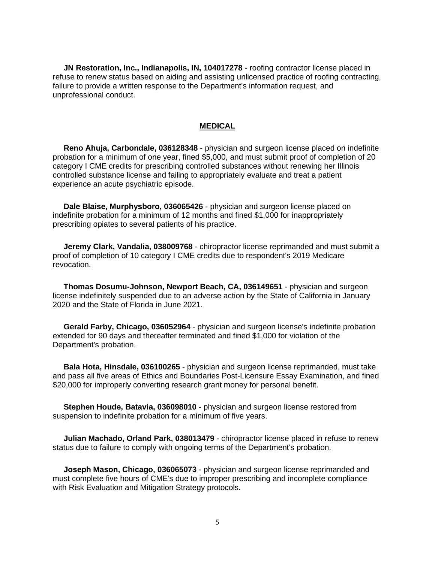**JN Restoration, Inc., Indianapolis, IN, 104017278** - roofing contractor license placed in refuse to renew status based on aiding and assisting unlicensed practice of roofing contracting, failure to provide a written response to the Department's information request, and unprofessional conduct.

## **MEDICAL**

 **Reno Ahuja, Carbondale, 036128348** - physician and surgeon license placed on indefinite probation for a minimum of one year, fined \$5,000, and must submit proof of completion of 20 category I CME credits for prescribing controlled substances without renewing her Illinois controlled substance license and failing to appropriately evaluate and treat a patient experience an acute psychiatric episode.

 **Dale Blaise, Murphysboro, 036065426** - physician and surgeon license placed on indefinite probation for a minimum of 12 months and fined \$1,000 for inappropriately prescribing opiates to several patients of his practice.

 **Jeremy Clark, Vandalia, 038009768** - chiropractor license reprimanded and must submit a proof of completion of 10 category I CME credits due to respondent's 2019 Medicare revocation.

 **Thomas Dosumu-Johnson, Newport Beach, CA, 036149651** - physician and surgeon license indefinitely suspended due to an adverse action by the State of California in January 2020 and the State of Florida in June 2021.

 **Gerald Farby, Chicago, 036052964** - physician and surgeon license's indefinite probation extended for 90 days and thereafter terminated and fined \$1,000 for violation of the Department's probation.

 **Bala Hota, Hinsdale, 036100265** - physician and surgeon license reprimanded, must take and pass all five areas of Ethics and Boundaries Post-Licensure Essay Examination, and fined \$20,000 for improperly converting research grant money for personal benefit.

 **Stephen Houde, Batavia, 036098010** - physician and surgeon license restored from suspension to indefinite probation for a minimum of five years.

 **Julian Machado, Orland Park, 038013479** - chiropractor license placed in refuse to renew status due to failure to comply with ongoing terms of the Department's probation.

 **Joseph Mason, Chicago, 036065073** - physician and surgeon license reprimanded and must complete five hours of CME's due to improper prescribing and incomplete compliance with Risk Evaluation and Mitigation Strategy protocols.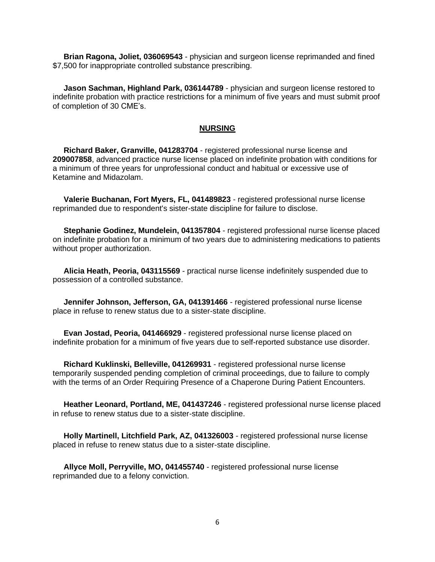**Brian Ragona, Joliet, 036069543** - physician and surgeon license reprimanded and fined \$7,500 for inappropriate controlled substance prescribing.

 **Jason Sachman, Highland Park, 036144789** - physician and surgeon license restored to indefinite probation with practice restrictions for a minimum of five years and must submit proof of completion of 30 CME's.

## **NURSING**

 **Richard Baker, Granville, 041283704** - registered professional nurse license and **209007858**, advanced practice nurse license placed on indefinite probation with conditions for a minimum of three years for unprofessional conduct and habitual or excessive use of Ketamine and Midazolam.

 **Valerie Buchanan, Fort Myers, FL, 041489823** - registered professional nurse license reprimanded due to respondent's sister-state discipline for failure to disclose.

 **Stephanie Godinez, Mundelein, 041357804** - registered professional nurse license placed on indefinite probation for a minimum of two years due to administering medications to patients without proper authorization.

 **Alicia Heath, Peoria, 043115569** - practical nurse license indefinitely suspended due to possession of a controlled substance.

 **Jennifer Johnson, Jefferson, GA, 041391466** - registered professional nurse license place in refuse to renew status due to a sister-state discipline.

 **Evan Jostad, Peoria, 041466929** - registered professional nurse license placed on indefinite probation for a minimum of five years due to self-reported substance use disorder.

 **Richard Kuklinski, Belleville, 041269931** - registered professional nurse license temporarily suspended pending completion of criminal proceedings, due to failure to comply with the terms of an Order Requiring Presence of a Chaperone During Patient Encounters.

 **Heather Leonard, Portland, ME, 041437246** - registered professional nurse license placed in refuse to renew status due to a sister-state discipline.

 **Holly Martinell, Litchfield Park, AZ, 041326003** - registered professional nurse license placed in refuse to renew status due to a sister-state discipline.

 **Allyce Moll, Perryville, MO, 041455740** - registered professional nurse license reprimanded due to a felony conviction.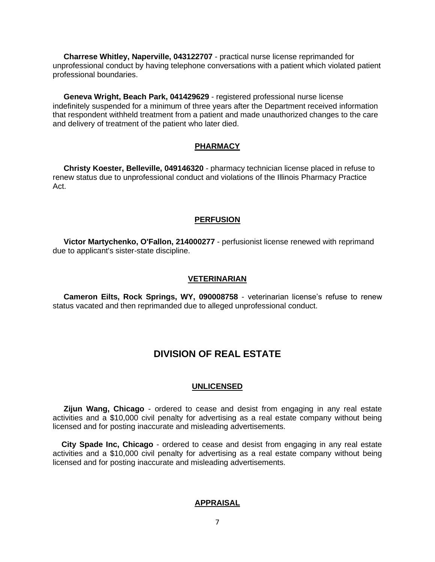**Charrese Whitley, Naperville, 043122707** - practical nurse license reprimanded for unprofessional conduct by having telephone conversations with a patient which violated patient professional boundaries.

 **Geneva Wright, Beach Park, 041429629** - registered professional nurse license indefinitely suspended for a minimum of three years after the Department received information that respondent withheld treatment from a patient and made unauthorized changes to the care and delivery of treatment of the patient who later died.

## **PHARMACY**

 **Christy Koester, Belleville, 049146320** - pharmacy technician license placed in refuse to renew status due to unprofessional conduct and violations of the Illinois Pharmacy Practice Act.

#### **PERFUSION**

 **Victor Martychenko, O'Fallon, 214000277** - perfusionist license renewed with reprimand due to applicant's sister-state discipline.

#### **VETERINARIAN**

 **Cameron Eilts, Rock Springs, WY, 090008758** - veterinarian license's refuse to renew status vacated and then reprimanded due to alleged unprofessional conduct.

# **DIVISION OF REAL ESTATE**

#### **UNLICENSED**

 **Zijun Wang, Chicago** - ordered to cease and desist from engaging in any real estate activities and a \$10,000 civil penalty for advertising as a real estate company without being licensed and for posting inaccurate and misleading advertisements.

 **City Spade Inc, Chicago** - ordered to cease and desist from engaging in any real estate activities and a \$10,000 civil penalty for advertising as a real estate company without being licensed and for posting inaccurate and misleading advertisements.

#### **APPRAISAL**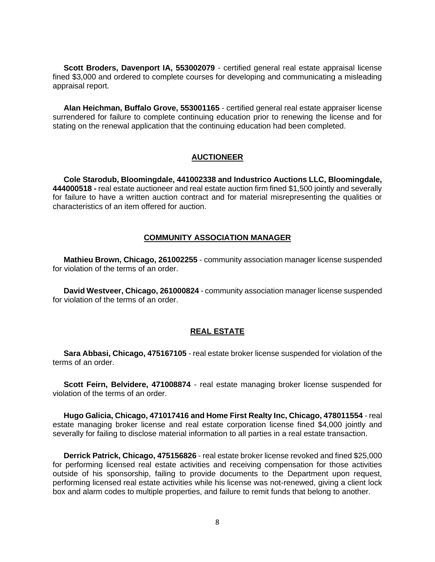**Scott Broders, Davenport IA, 553002079** - certified general real estate appraisal license fined \$3,000 and ordered to complete courses for developing and communicating a misleading appraisal report.

 **Alan Heichman, Buffalo Grove, 553001165** - certified general real estate appraiser license surrendered for failure to complete continuing education prior to renewing the license and for stating on the renewal application that the continuing education had been completed.

## **AUCTIONEER**

 **Cole Starodub, Bloomingdale, 441002338 and Industrico Auctions LLC, Bloomingdale, 444000518 -** real estate auctioneer and real estate auction firm fined \$1,500 jointly and severally for failure to have a written auction contract and for material misrepresenting the qualities or characteristics of an item offered for auction.

## **COMMUNITY ASSOCIATION MANAGER**

 **Mathieu Brown, Chicago, 261002255** - community association manager license suspended for violation of the terms of an order

 **David Westveer, Chicago, 261000824** - community association manager license suspended for violation of the terms of an order.

### **REAL ESTATE**

 **Sara Abbasi, Chicago, 475167105** - real estate broker license suspended for violation of the terms of an order.

 **Scott Feirn, Belvidere, 471008874** - real estate managing broker license suspended for violation of the terms of an order.

 **Hugo Galicia, Chicago, 471017416 and Home First Realty Inc, Chicago, 478011554** - real estate managing broker license and real estate corporation license fined \$4,000 jointly and severally for failing to disclose material information to all parties in a real estate transaction.

 **Derrick Patrick, Chicago, 475156826** - real estate broker license revoked and fined \$25,000 for performing licensed real estate activities and receiving compensation for those activities outside of his sponsorship, failing to provide documents to the Department upon request, performing licensed real estate activities while his license was not-renewed, giving a client lock box and alarm codes to multiple properties, and failure to remit funds that belong to another.